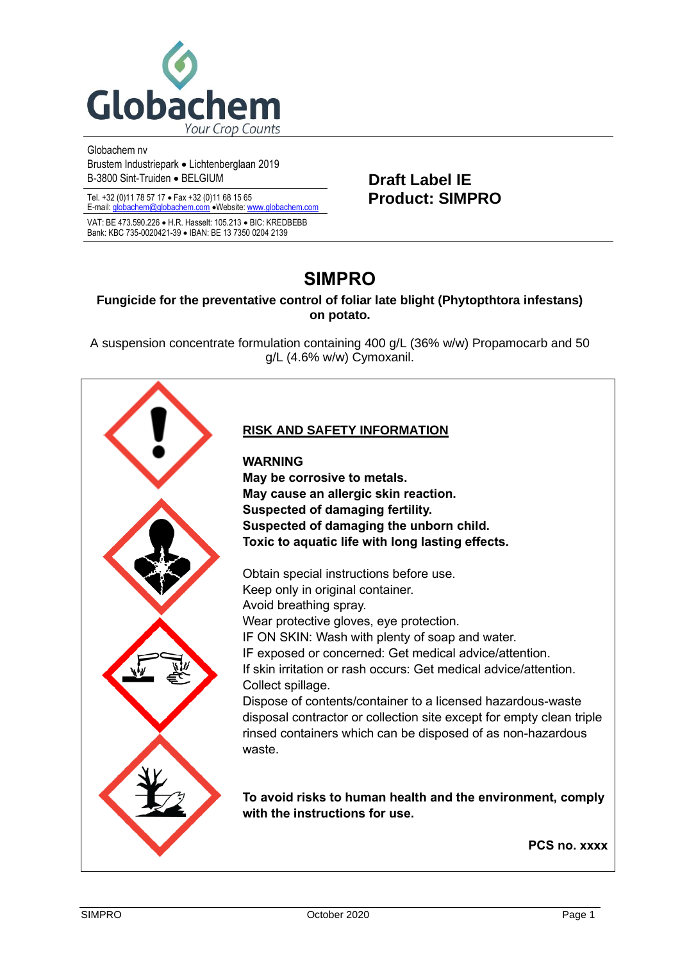

Globachem nv Brustem Industriepark • Lichtenberglaan 2019 B-3800 Sint-Truiden • BELGIUM **Draft Label IE** 

Tel. +32 (0)11 78 57 17 • Fax +32 (0)11 68 15 65 **Product: SIMPRO** E-mail[: globachem@globachem.com](mailto:globachem@globachem.com) •Website[: www.globachem.com](mailto:globachem@globachem.com)

VAT: BE 473.590.226 • H.R. Hasselt: 105.213 • BIC: KREDBEBB Bank: KBC 735-0020421-39 • IBAN: BE 13 7350 0204 2139

# **SIMPRO**

# **Fungicide for the preventative control of foliar late blight (Phytopthtora infestans) on potato.**

A suspension concentrate formulation containing 400 g/L (36% w/w) Propamocarb and 50 g/L (4.6% w/w) Cymoxanil.



# **RISK AND SAFETY INFORMATION**

**WARNING May be corrosive to metals. May cause an allergic skin reaction. Suspected of damaging fertility. Suspected of damaging the unborn child. Toxic to aquatic life with long lasting effects.**

Obtain special instructions before use. Keep only in original container. Avoid breathing spray. Wear protective gloves, eve protection. IF ON SKIN: Wash with plenty of soap and water. IF exposed or concerned: Get medical advice/attention. If skin irritation or rash occurs: Get medical advice/attention. Collect spillage. Dispose of contents/container to a licensed hazardous-waste disposal contractor or collection site except for empty clean triple rinsed containers which can be disposed of as non-hazardous waste.

**To avoid risks to human health and the environment, comply with the instructions for use.**

 **PCS no. xxxx**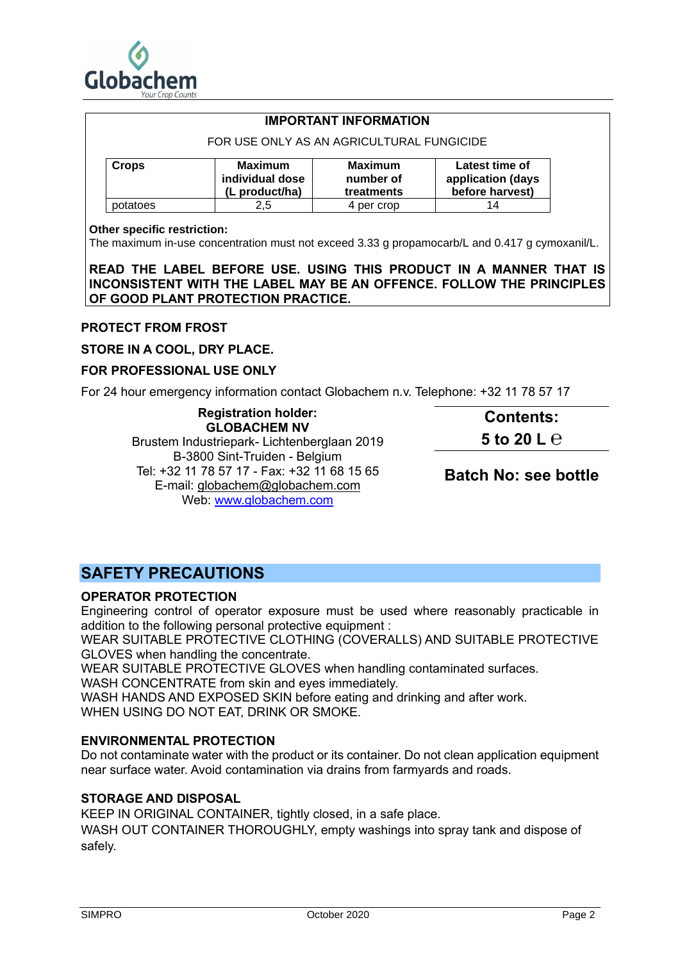

|              | <b>IMPORTANT INFORMATION</b>                        |                                           |                                                        |
|--------------|-----------------------------------------------------|-------------------------------------------|--------------------------------------------------------|
|              | FOR USE ONLY AS AN AGRICULTURAL FUNGICIDE           |                                           |                                                        |
| <b>Crops</b> | <b>Maximum</b><br>individual dose<br>(L product/ha) | <b>Maximum</b><br>number of<br>treatments | Latest time of<br>application (days<br>before harvest) |
| potatoes     | 2.5                                                 | 4 per crop                                | 14                                                     |

#### **Other specific restriction:**

The maximum in-use concentration must not exceed 3.33 g propamocarb/L and 0.417 g cymoxanil/L.

**READ THE LABEL BEFORE USE. USING THIS PRODUCT IN A MANNER THAT IS INCONSISTENT WITH THE LABEL MAY BE AN OFFENCE. FOLLOW THE PRINCIPLES OF GOOD PLANT PROTECTION PRACTICE.**

#### **PROTECT FROM FROST**

**STORE IN A COOL, DRY PLACE.**

#### **FOR PROFESSIONAL USE ONLY**

For 24 hour emergency information contact Globachem n.v. Telephone: +32 11 78 57 17

**Registration holder: GLOBACHEM NV** Brustem Industriepark- Lichtenberglaan 2019 B-3800 Sint-Truiden - Belgium Tel: +32 11 78 57 17 - Fax: +32 11 68 15 65 E-mail: [globachem@globachem.com](mailto:globachem@globachem.com) Web: [www.globachem.com](http://www.globachem.com/) **Contents: 5 to 20 L ℮ Batch No: see bottle**

# **SAFETY PRECAUTIONS**

# **OPERATOR PROTECTION**

Engineering control of operator exposure must be used where reasonably practicable in addition to the following personal protective equipment :

WEAR SUITABLE PROTECTIVE CLOTHING (COVERALLS) AND SUITABLE PROTECTIVE GLOVES when handling the concentrate.

WEAR SUITABLE PROTECTIVE GLOVES when handling contaminated surfaces.

WASH CONCENTRATE from skin and eyes immediately.

WASH HANDS AND EXPOSED SKIN before eating and drinking and after work.

WHEN USING DO NOT EAT, DRINK OR SMOKE.

## **ENVIRONMENTAL PROTECTION**

Do not contaminate water with the product or its container. Do not clean application equipment near surface water. Avoid contamination via drains from farmyards and roads.

## **STORAGE AND DISPOSAL**

KEEP IN ORIGINAL CONTAINER, tightly closed, in a safe place.

WASH OUT CONTAINER THOROUGHLY, empty washings into spray tank and dispose of safely.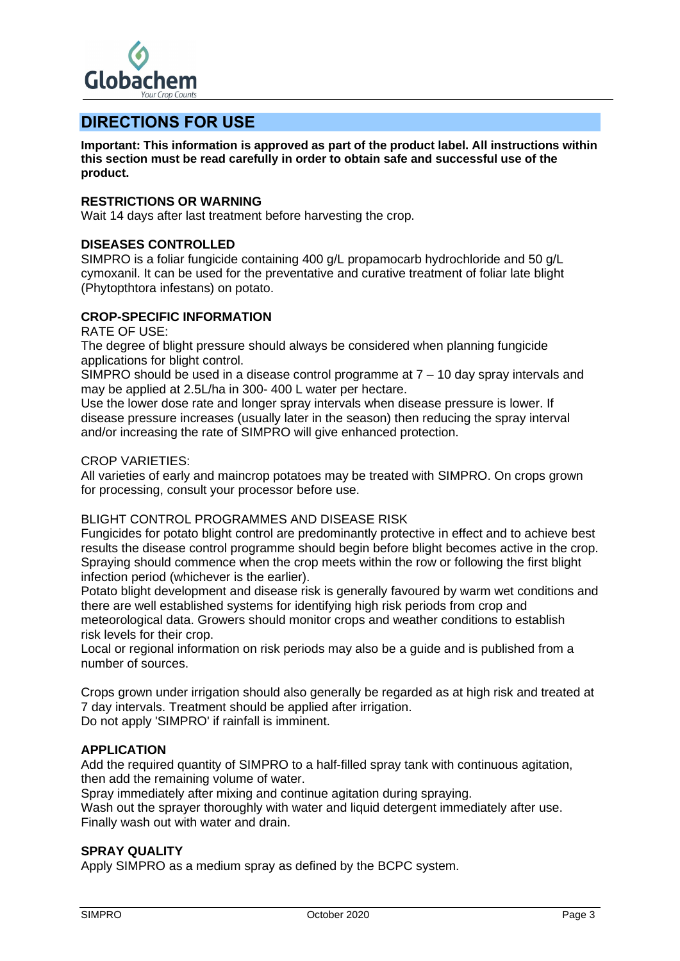

# **DIRECTIONS FOR USE**

**Important: This information is approved as part of the product label. All instructions within this section must be read carefully in order to obtain safe and successful use of the product.**

# **RESTRICTIONS OR WARNING**

Wait 14 days after last treatment before harvesting the crop.

# **DISEASES CONTROLLED**

SIMPRO is a foliar fungicide containing 400 g/L propamocarb hydrochloride and 50 g/L cymoxanil. It can be used for the preventative and curative treatment of foliar late blight (Phytopthtora infestans) on potato.

## **CROP-SPECIFIC INFORMATION**

RATE OF USE:

The degree of blight pressure should always be considered when planning fungicide applications for blight control.

SIMPRO should be used in a disease control programme at  $7 - 10$  day spray intervals and may be applied at 2.5L/ha in 300- 400 L water per hectare.

Use the lower dose rate and longer spray intervals when disease pressure is lower. If disease pressure increases (usually later in the season) then reducing the spray interval and/or increasing the rate of SIMPRO will give enhanced protection.

#### CROP VARIETIES:

All varieties of early and maincrop potatoes may be treated with SIMPRO. On crops grown for processing, consult your processor before use.

# BLIGHT CONTROL PROGRAMMES AND DISEASE RISK

Fungicides for potato blight control are predominantly protective in effect and to achieve best results the disease control programme should begin before blight becomes active in the crop. Spraying should commence when the crop meets within the row or following the first blight infection period (whichever is the earlier).

Potato blight development and disease risk is generally favoured by warm wet conditions and there are well established systems for identifying high risk periods from crop and meteorological data. Growers should monitor crops and weather conditions to establish risk levels for their crop.

Local or regional information on risk periods may also be a guide and is published from a number of sources.

Crops grown under irrigation should also generally be regarded as at high risk and treated at 7 day intervals. Treatment should be applied after irrigation. Do not apply 'SIMPRO' if rainfall is imminent.

## **APPLICATION**

Add the required quantity of SIMPRO to a half-filled spray tank with continuous agitation, then add the remaining volume of water.

Spray immediately after mixing and continue agitation during spraying.

Wash out the sprayer thoroughly with water and liquid detergent immediately after use. Finally wash out with water and drain.

## **SPRAY QUALITY**

Apply SIMPRO as a medium spray as defined by the BCPC system.